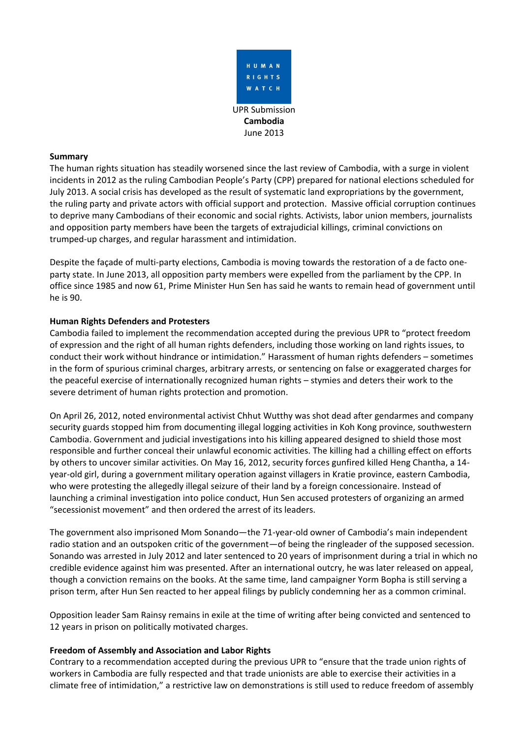

### **Summary**

The human rights situation has steadily worsened since the last review of Cambodia, with a surge in violent incidents in 2012 as the ruling Cambodian People's Party (CPP) prepared for national elections scheduled for July 2013. A social crisis has developed as the result of systematic land expropriations by the government, the ruling party and private actors with official support and protection. Massive official corruption continues to deprive many Cambodians of their economic and social rights. Activists, labor union members, journalists and opposition party members have been the targets of extrajudicial killings, criminal convictions on trumped-up charges, and regular harassment and intimidation.

Despite the façade of multi-party elections, Cambodia is moving towards the restoration of a de facto oneparty state. In June 2013, all opposition party members were expelled from the parliament by the CPP. In office since 1985 and now 61, Prime Minister Hun Sen has said he wants to remain head of government until he is 90.

## **Human Rights Defenders and Protesters**

Cambodia failed to implement the recommendation accepted during the previous UPR to "protect freedom of expression and the right of all human rights defenders, including those working on land rights issues, to conduct their work without hindrance or intimidation." Harassment of human rights defenders – sometimes in the form of spurious criminal charges, arbitrary arrests, or sentencing on false or exaggerated charges for the peaceful exercise of internationally recognized human rights – stymies and deters their work to the severe detriment of human rights protection and promotion.

On April 26, 2012, noted environmental activist Chhut Wutthy was shot dead after gendarmes and company security guards stopped him from documenting illegal logging activities in Koh Kong province, southwestern Cambodia. Government and judicial investigations into his killing appeared designed to shield those most responsible and further conceal their unlawful economic activities. The killing had a chilling effect on efforts by others to uncover similar activities. On May 16, 2012, security forces gunfired killed Heng Chantha, a 14 year-old girl, during a government military operation against villagers in Kratie province, eastern Cambodia, who were protesting the allegedly illegal seizure of their land by a foreign concessionaire. Instead of launching a criminal investigation into police conduct, Hun Sen accused protesters of organizing an armed "secessionist movement" and then ordered the arrest of its leaders.

The government also imprisoned Mom Sonando—the 71-year-old owner of Cambodia's main independent radio station and an outspoken critic of the government—of being the ringleader of the supposed secession. Sonando was arrested in July 2012 and later sentenced to 20 years of imprisonment during a trial in which no credible evidence against him was presented. After an international outcry, he was later released on appeal, though a conviction remains on the books. At the same time, land campaigner Yorm Bopha is still serving a prison term, after Hun Sen reacted to her appeal filings by publicly condemning her as a common criminal.

Opposition leader Sam Rainsy remains in exile at the time of writing after being convicted and sentenced to 12 years in prison on politically motivated charges.

# **Freedom of Assembly and Association and Labor Rights**

Contrary to a recommendation accepted during the previous UPR to "ensure that the trade union rights of workers in Cambodia are fully respected and that trade unionists are able to exercise their activities in a climate free of intimidation," a restrictive law on demonstrations is still used to reduce freedom of assembly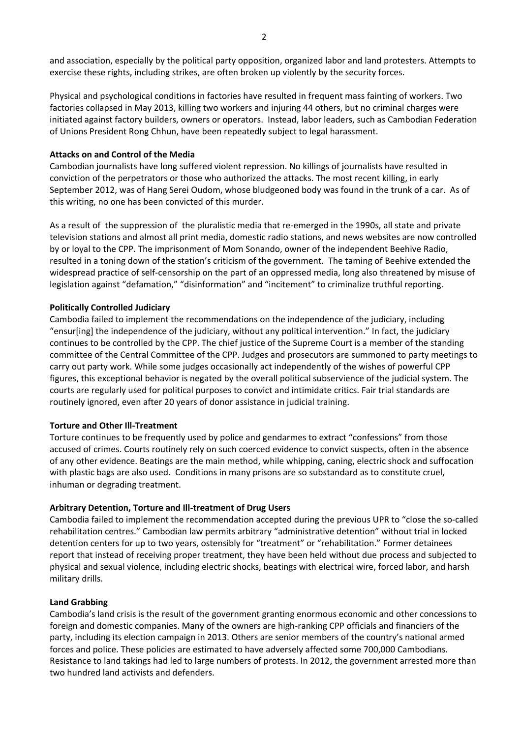and association, especially by the political party opposition, organized labor and land protesters. Attempts to exercise these rights, including strikes, are often broken up violently by the security forces.

Physical and psychological conditions in factories have resulted in frequent mass fainting of workers. Two factories collapsed in May 2013, killing two workers and injuring 44 others, but no criminal charges were initiated against factory builders, owners or operators. Instead, labor leaders, such as Cambodian Federation of Unions President Rong Chhun, have been repeatedly subject to legal harassment.

#### **Attacks on and Control of the Media**

Cambodian journalists have long suffered violent repression. No killings of journalists have resulted in conviction of the perpetrators or those who authorized the attacks. The most recent killing, in early September 2012, was of Hang Serei Oudom, whose bludgeoned body was found in the trunk of a car. As of this writing, no one has been convicted of this murder.

As a result of the suppression of the pluralistic media that re-emerged in the 1990s, all state and private television stations and almost all print media, domestic radio stations, and news websites are now controlled by or loyal to the CPP. The imprisonment of Mom Sonando, owner of the independent Beehive Radio, resulted in a toning down of the station's criticism of the government. The taming of Beehive extended the widespread practice of self-censorship on the part of an oppressed media, long also threatened by misuse of legislation against "defamation," "disinformation" and "incitement" to criminalize truthful reporting.

#### **Politically Controlled Judiciary**

Cambodia failed to implement the recommendations on the independence of the judiciary, including "ensur[ing] the independence of the judiciary, without any political intervention." In fact, the judiciary continues to be controlled by the CPP. The chief justice of the Supreme Court is a member of the standing committee of the Central Committee of the CPP. Judges and prosecutors are summoned to party meetings to carry out party work. While some judges occasionally act independently of the wishes of powerful CPP figures, this exceptional behavior is negated by the overall political subservience of the judicial system. The courts are regularly used for political purposes to convict and intimidate critics. Fair trial standards are routinely ignored, even after 20 years of donor assistance in judicial training.

#### **Torture and Other Ill-Treatment**

Torture continues to be frequently used by police and gendarmes to extract "confessions" from those accused of crimes. Courts routinely rely on such coerced evidence to convict suspects, often in the absence of any other evidence. Beatings are the main method, while whipping, caning, electric shock and suffocation with plastic bags are also used. Conditions in many prisons are so substandard as to constitute cruel, inhuman or degrading treatment.

### **Arbitrary Detention, Torture and Ill-treatment of Drug Users**

Cambodia failed to implement the recommendation accepted during the previous UPR to "close the so-called rehabilitation centres." Cambodian law permits arbitrary "administrative detention" without trial in locked detention centers for up to two years, ostensibly for "treatment" or "rehabilitation." Former detainees report that instead of receiving proper treatment, they have been held without due process and subjected to physical and sexual violence, including electric shocks, beatings with electrical wire, forced labor, and harsh military drills.

#### **Land Grabbing**

Cambodia's land crisis is the result of the government granting enormous economic and other concessions to foreign and domestic companies. Many of the owners are high-ranking CPP officials and financiers of the party, including its election campaign in 2013. Others are senior members of the country's national armed forces and police. These policies are estimated to have adversely affected some 700,000 Cambodians. Resistance to land takings had led to large numbers of protests. In 2012, the government arrested more than two hundred land activists and defenders.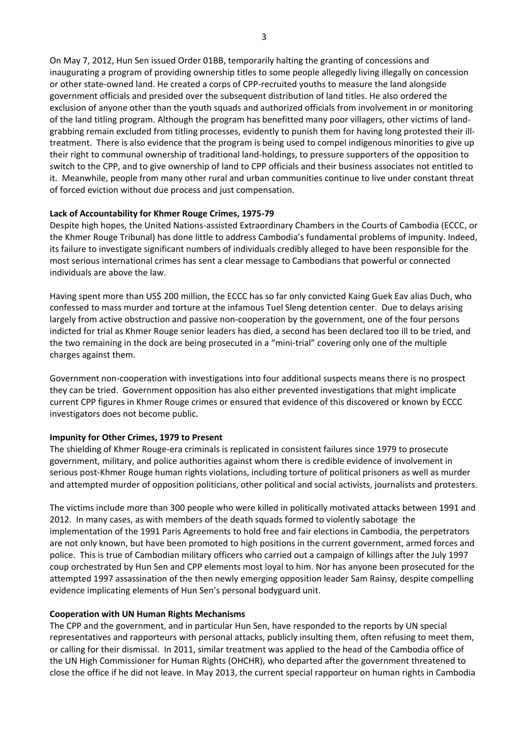On May 7, 2012, Hun Sen issued Order 01BB, temporarily halting the granting of concessions and inaugurating a program of providing ownership titles to some people allegedly living illegally on concession or other state-owned land. He created a corps of CPP-recruited youths to measure the land alongside government officials and presided over the subsequent distribution of land titles. He also ordered the exclusion of anyone other than the youth squads and authorized officials from involvement in or monitoring of the land titling program. Although the program has benefitted many poor villagers, other victims of landgrabbing remain excluded from titling processes, evidently to punish them for having long protested their illtreatment. There is also evidence that the program is being used to compel indigenous minorities to give up their right to communal ownership of traditional land-holdings, to pressure supporters of the opposition to switch to the CPP, and to give ownership of land to CPP officials and their business associates not entitled to it. Meanwhile, people from many other rural and urban communities continue to live under constant threat of forced eviction without due process and just compensation.

## **Lack of Accountability for Khmer Rouge Crimes, 1975-79**

Despite high hopes, the United Nations-assisted Extraordinary Chambers in the Courts of Cambodia (ECCC, or the Khmer Rouge Tribunal) has done little to address Cambodia's fundamental problems of impunity. Indeed, its failure to investigate significant numbers of individuals credibly alleged to have been responsible for the most serious international crimes has sent a clear message to Cambodians that powerful or connected individuals are above the law.

Having spent more than US\$ 200 million, the ECCC has so far only convicted Kaing Guek Eav alias Duch, who confessed to mass murder and torture at the infamous Tuel Sleng detention center. Due to delays arising largely from active obstruction and passive non-cooperation by the government, one of the four persons indicted for trial as Khmer Rouge senior leaders has died, a second has been declared too ill to be tried, and the two remaining in the dock are being prosecuted in a "mini-trial" covering only one of the multiple charges against them.

Government non-cooperation with investigations into four additional suspects means there is no prospect they can be tried. Government opposition has also either prevented investigations that might implicate current CPP figures in Khmer Rouge crimes or ensured that evidence of this discovered or known by ECCC investigators does not become public.

### **Impunity for Other Crimes, 1979 to Present**

The shielding of Khmer Rouge-era criminals is replicated in consistent failures since 1979 to prosecute government, military, and police authorities against whom there is credible evidence of involvement in serious post-Khmer Rouge human rights violations, including torture of political prisoners as well as murder and attempted murder of opposition politicians, other political and social activists, journalists and protesters.

The victims include more than 300 people who were killed in politically motivated attacks between 1991 and 2012. In many cases, as with members of the death squads formed to violently sabotage the implementation of the 1991 Paris Agreements to hold free and fair elections in Cambodia, the perpetrators are not only known, but have been promoted to high positions in the current government, armed forces and police. This is true of Cambodian military officers who carried out a campaign of killings after the July 1997 coup orchestrated by Hun Sen and CPP elements most loyal to him. Nor has anyone been prosecuted for the attempted 1997 assassination of the then newly emerging opposition leader Sam Rainsy, despite compelling evidence implicating elements of Hun Sen's personal bodyguard unit.

### **Cooperation with UN Human Rights Mechanisms**

The CPP and the government, and in particular Hun Sen, have responded to the reports by UN special representatives and rapporteurs with personal attacks, publicly insulting them, often refusing to meet them, or calling for their dismissal. In 2011, similar treatment was applied to the head of the Cambodia office of the UN High Commissioner for Human Rights (OHCHR), who departed after the government threatened to close the office if he did not leave. In May 2013, the current special rapporteur on human rights in Cambodia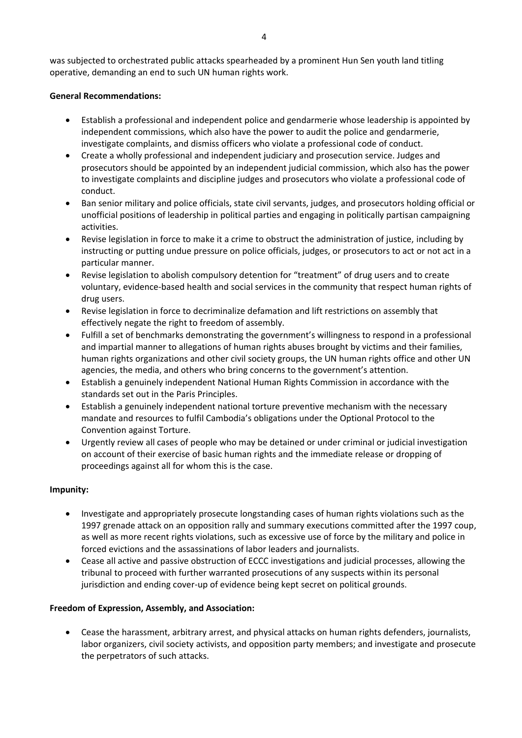was subjected to orchestrated public attacks spearheaded by a prominent Hun Sen youth land titling operative, demanding an end to such UN human rights work.

### **General Recommendations:**

- Establish a professional and independent police and gendarmerie whose leadership is appointed by independent commissions, which also have the power to audit the police and gendarmerie, investigate complaints, and dismiss officers who violate a professional code of conduct.
- Create a wholly professional and independent judiciary and prosecution service. Judges and prosecutors should be appointed by an independent judicial commission, which also has the power to investigate complaints and discipline judges and prosecutors who violate a professional code of conduct.
- Ban senior military and police officials, state civil servants, judges, and prosecutors holding official or unofficial positions of leadership in political parties and engaging in politically partisan campaigning activities.
- Revise legislation in force to make it a crime to obstruct the administration of justice, including by instructing or putting undue pressure on police officials, judges, or prosecutors to act or not act in a particular manner.
- Revise legislation to abolish compulsory detention for "treatment" of drug users and to create voluntary, evidence-based health and social services in the community that respect human rights of drug users.
- Revise legislation in force to decriminalize defamation and lift restrictions on assembly that effectively negate the right to freedom of assembly.
- Fulfill a set of benchmarks demonstrating the government's willingness to respond in a professional and impartial manner to allegations of human rights abuses brought by victims and their families, human rights organizations and other civil society groups, the UN human rights office and other UN agencies, the media, and others who bring concerns to the government's attention.
- Establish a genuinely independent National Human Rights Commission in accordance with the standards set out in the Paris Principles.
- Establish a genuinely independent national torture preventive mechanism with the necessary mandate and resources to fulfil Cambodia's obligations under the Optional Protocol to the Convention against Torture.
- Urgently review all cases of people who may be detained or under criminal or judicial investigation on account of their exercise of basic human rights and the immediate release or dropping of proceedings against all for whom this is the case.

# **Impunity:**

- Investigate and appropriately prosecute longstanding cases of human rights violations such as the 1997 grenade attack on an opposition rally and summary executions committed after the 1997 coup, as well as more recent rights violations, such as excessive use of force by the military and police in forced evictions and the assassinations of labor leaders and journalists.
- Cease all active and passive obstruction of ECCC investigations and judicial processes, allowing the tribunal to proceed with further warranted prosecutions of any suspects within its personal jurisdiction and ending cover-up of evidence being kept secret on political grounds.

# **Freedom of Expression, Assembly, and Association:**

 Cease the harassment, arbitrary arrest, and physical attacks on human rights defenders, journalists, labor organizers, civil society activists, and opposition party members; and investigate and prosecute the perpetrators of such attacks.